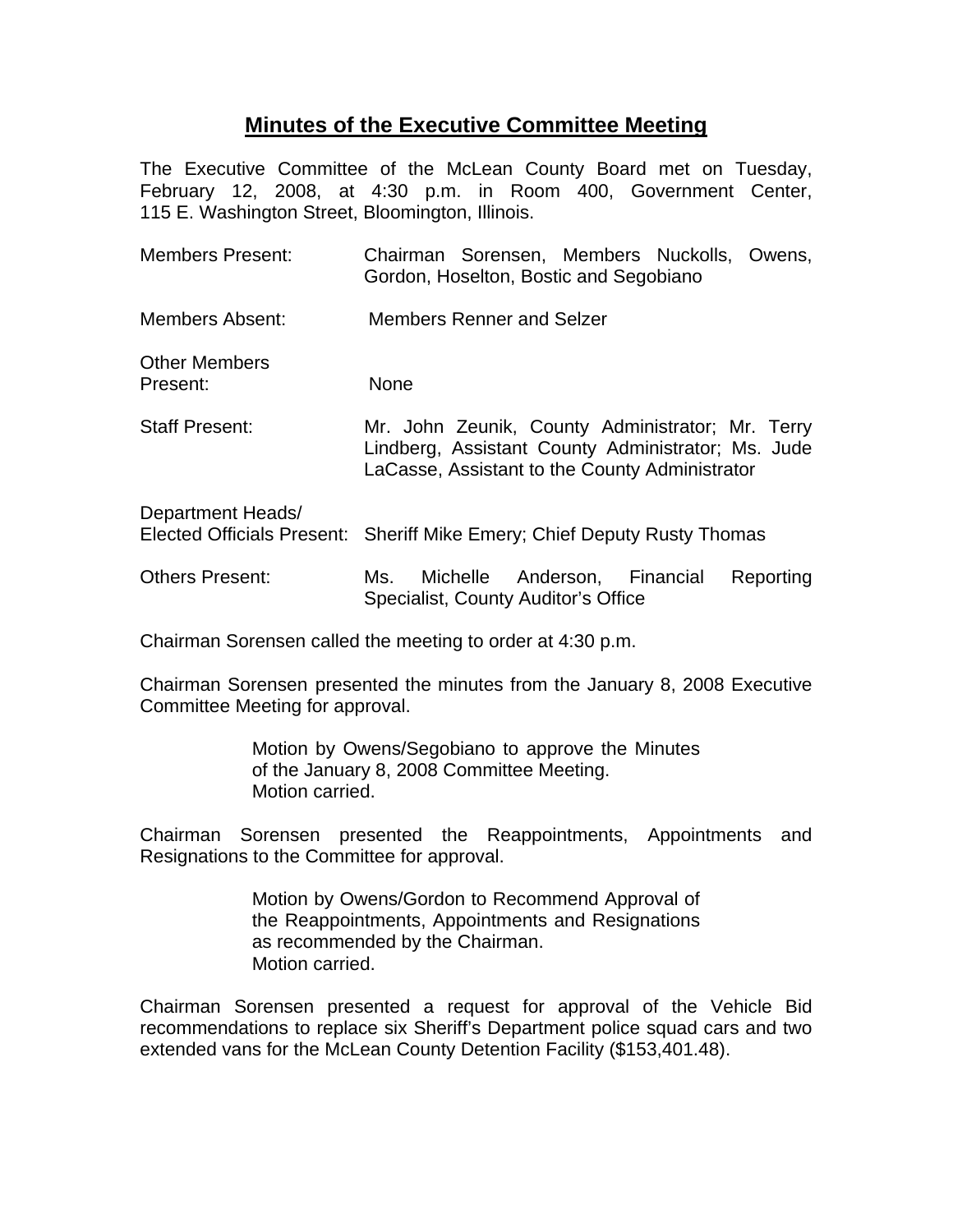## **Minutes of the Executive Committee Meeting**

The Executive Committee of the McLean County Board met on Tuesday, February 12, 2008, at 4:30 p.m. in Room 400, Government Center, 115 E. Washington Street, Bloomington, Illinois.

| <b>Members Present:</b>          | Chairman Sorensen, Members Nuckolls, Owens,<br>Gordon, Hoselton, Bostic and Segobiano                                                                    |
|----------------------------------|----------------------------------------------------------------------------------------------------------------------------------------------------------|
| Members Absent:                  | <b>Members Renner and Selzer</b>                                                                                                                         |
| <b>Other Members</b><br>Present: | None                                                                                                                                                     |
| <b>Staff Present:</b>            | Mr. John Zeunik, County Administrator; Mr. Terry<br>Lindberg, Assistant County Administrator; Ms. Jude<br>LaCasse, Assistant to the County Administrator |
| Department Heads/                | Elected Officials Present: Sheriff Mike Emery; Chief Deputy Rusty Thomas                                                                                 |
| <b>Others Present:</b>           | Michelle Anderson, Financial<br>Reporting<br>Ms.<br>Specialist, County Auditor's Office                                                                  |

Chairman Sorensen called the meeting to order at 4:30 p.m.

Chairman Sorensen presented the minutes from the January 8, 2008 Executive Committee Meeting for approval.

> Motion by Owens/Segobiano to approve the Minutes of the January 8, 2008 Committee Meeting. Motion carried.

Chairman Sorensen presented the Reappointments, Appointments and Resignations to the Committee for approval.

> Motion by Owens/Gordon to Recommend Approval of the Reappointments, Appointments and Resignations as recommended by the Chairman. Motion carried.

Chairman Sorensen presented a request for approval of the Vehicle Bid recommendations to replace six Sheriff's Department police squad cars and two extended vans for the McLean County Detention Facility (\$153,401.48).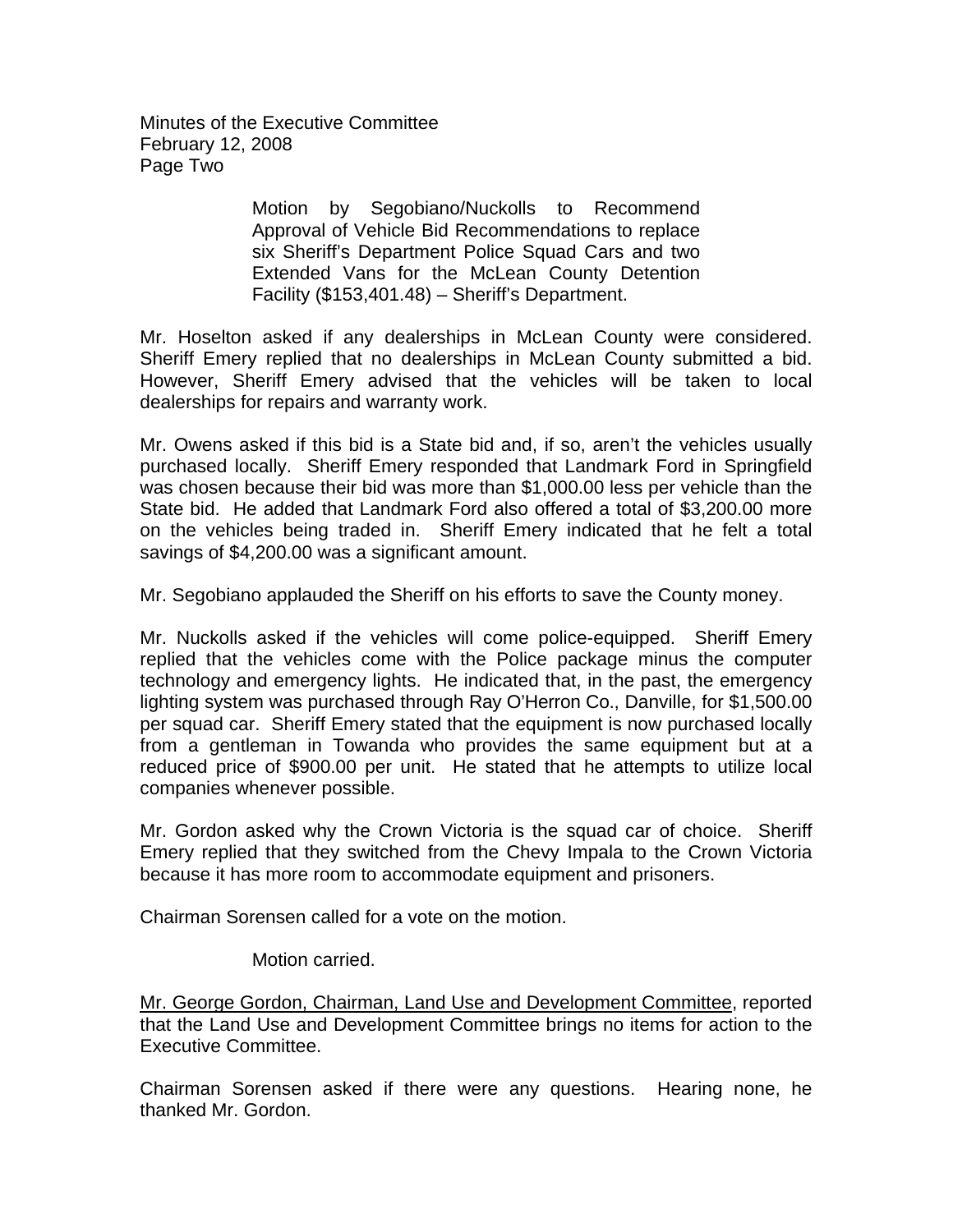Minutes of the Executive Committee February 12, 2008 Page Two

> Motion by Segobiano/Nuckolls to Recommend Approval of Vehicle Bid Recommendations to replace six Sheriff's Department Police Squad Cars and two Extended Vans for the McLean County Detention Facility (\$153,401.48) – Sheriff's Department.

Mr. Hoselton asked if any dealerships in McLean County were considered. Sheriff Emery replied that no dealerships in McLean County submitted a bid. However, Sheriff Emery advised that the vehicles will be taken to local dealerships for repairs and warranty work.

Mr. Owens asked if this bid is a State bid and, if so, aren't the vehicles usually purchased locally. Sheriff Emery responded that Landmark Ford in Springfield was chosen because their bid was more than \$1,000.00 less per vehicle than the State bid. He added that Landmark Ford also offered a total of \$3,200.00 more on the vehicles being traded in. Sheriff Emery indicated that he felt a total savings of \$4,200.00 was a significant amount.

Mr. Segobiano applauded the Sheriff on his efforts to save the County money.

Mr. Nuckolls asked if the vehicles will come police-equipped. Sheriff Emery replied that the vehicles come with the Police package minus the computer technology and emergency lights. He indicated that, in the past, the emergency lighting system was purchased through Ray O'Herron Co., Danville, for \$1,500.00 per squad car. Sheriff Emery stated that the equipment is now purchased locally from a gentleman in Towanda who provides the same equipment but at a reduced price of \$900.00 per unit. He stated that he attempts to utilize local companies whenever possible.

Mr. Gordon asked why the Crown Victoria is the squad car of choice. Sheriff Emery replied that they switched from the Chevy Impala to the Crown Victoria because it has more room to accommodate equipment and prisoners.

Chairman Sorensen called for a vote on the motion.

Motion carried.

Mr. George Gordon, Chairman, Land Use and Development Committee, reported that the Land Use and Development Committee brings no items for action to the Executive Committee.

Chairman Sorensen asked if there were any questions. Hearing none, he thanked Mr. Gordon.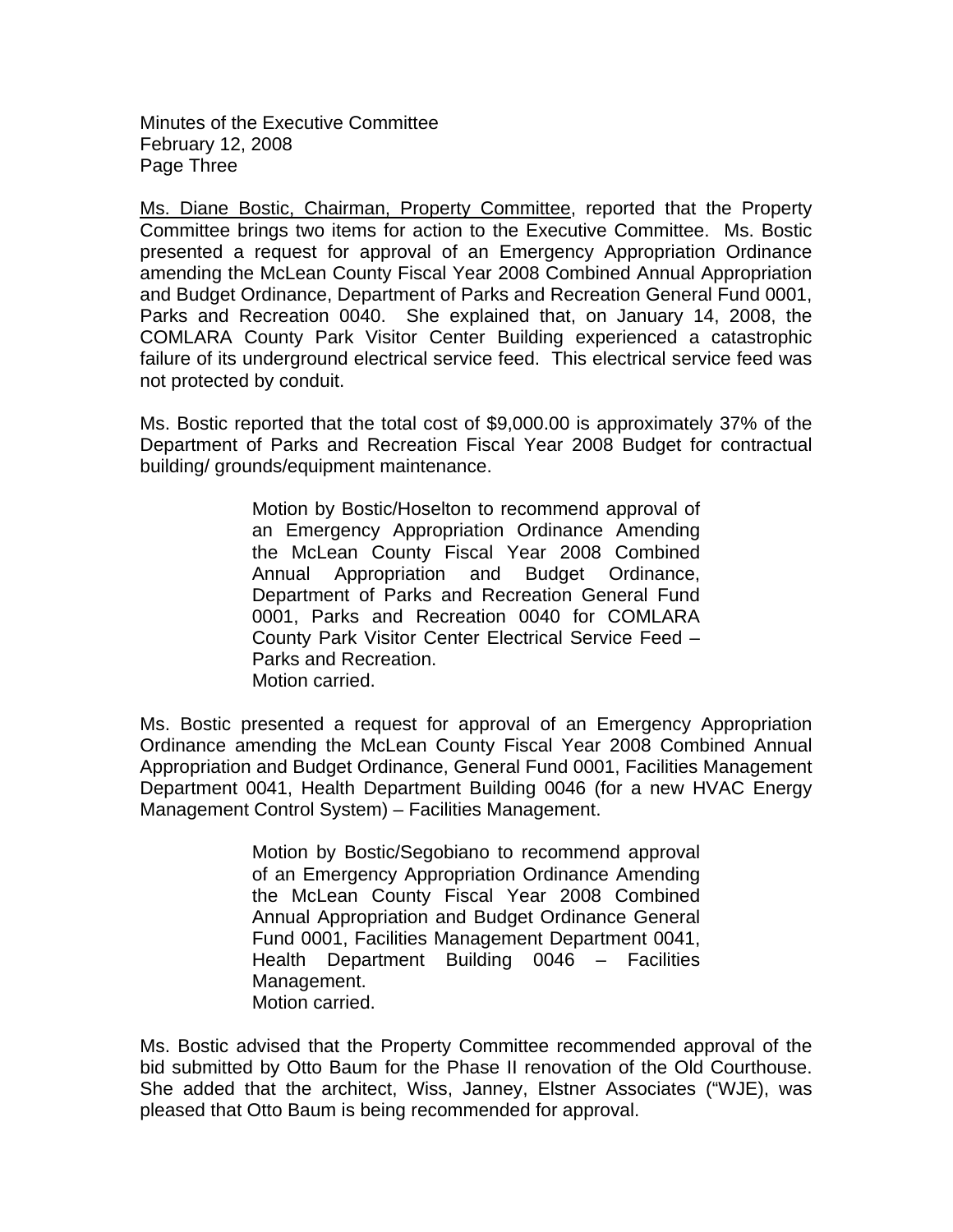Minutes of the Executive Committee February 12, 2008 Page Three

Ms. Diane Bostic, Chairman, Property Committee, reported that the Property Committee brings two items for action to the Executive Committee. Ms. Bostic presented a request for approval of an Emergency Appropriation Ordinance amending the McLean County Fiscal Year 2008 Combined Annual Appropriation and Budget Ordinance, Department of Parks and Recreation General Fund 0001, Parks and Recreation 0040. She explained that, on January 14, 2008, the COMLARA County Park Visitor Center Building experienced a catastrophic failure of its underground electrical service feed. This electrical service feed was not protected by conduit.

Ms. Bostic reported that the total cost of \$9,000.00 is approximately 37% of the Department of Parks and Recreation Fiscal Year 2008 Budget for contractual building/ grounds/equipment maintenance.

> Motion by Bostic/Hoselton to recommend approval of an Emergency Appropriation Ordinance Amending the McLean County Fiscal Year 2008 Combined Annual Appropriation and Budget Ordinance, Department of Parks and Recreation General Fund 0001, Parks and Recreation 0040 for COMLARA County Park Visitor Center Electrical Service Feed – Parks and Recreation. Motion carried.

Ms. Bostic presented a request for approval of an Emergency Appropriation Ordinance amending the McLean County Fiscal Year 2008 Combined Annual Appropriation and Budget Ordinance, General Fund 0001, Facilities Management Department 0041, Health Department Building 0046 (for a new HVAC Energy Management Control System) – Facilities Management.

> Motion by Bostic/Segobiano to recommend approval of an Emergency Appropriation Ordinance Amending the McLean County Fiscal Year 2008 Combined Annual Appropriation and Budget Ordinance General Fund 0001, Facilities Management Department 0041, Health Department Building 0046 – Facilities Management. Motion carried.

Ms. Bostic advised that the Property Committee recommended approval of the bid submitted by Otto Baum for the Phase II renovation of the Old Courthouse. She added that the architect, Wiss, Janney, Elstner Associates ("WJE), was pleased that Otto Baum is being recommended for approval.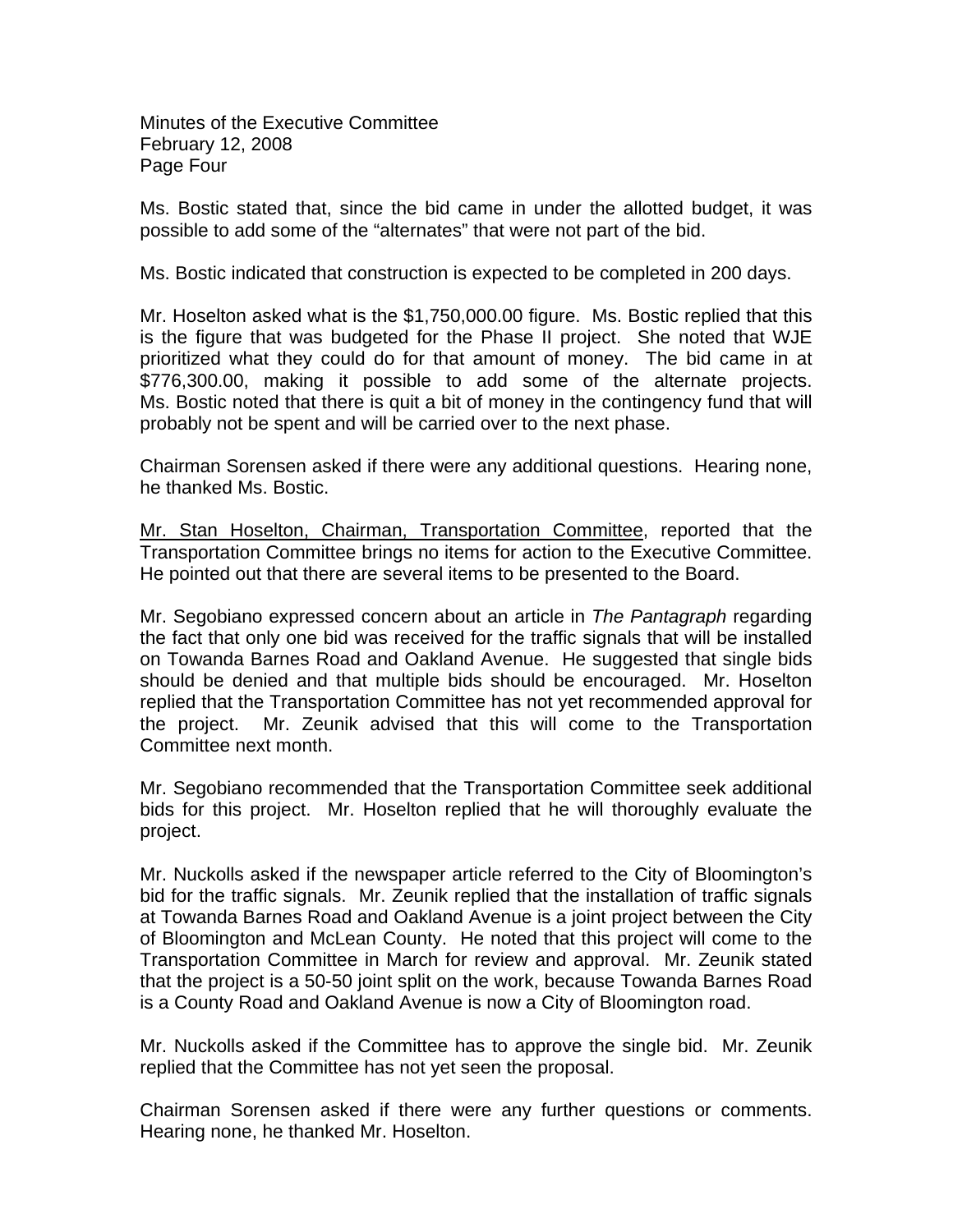Minutes of the Executive Committee February 12, 2008 Page Four

Ms. Bostic stated that, since the bid came in under the allotted budget, it was possible to add some of the "alternates" that were not part of the bid.

Ms. Bostic indicated that construction is expected to be completed in 200 days.

Mr. Hoselton asked what is the \$1,750,000.00 figure. Ms. Bostic replied that this is the figure that was budgeted for the Phase II project. She noted that WJE prioritized what they could do for that amount of money. The bid came in at \$776,300.00, making it possible to add some of the alternate projects. Ms. Bostic noted that there is quit a bit of money in the contingency fund that will probably not be spent and will be carried over to the next phase.

Chairman Sorensen asked if there were any additional questions. Hearing none, he thanked Ms. Bostic.

Mr. Stan Hoselton, Chairman, Transportation Committee, reported that the Transportation Committee brings no items for action to the Executive Committee. He pointed out that there are several items to be presented to the Board.

Mr. Segobiano expressed concern about an article in *The Pantagraph* regarding the fact that only one bid was received for the traffic signals that will be installed on Towanda Barnes Road and Oakland Avenue. He suggested that single bids should be denied and that multiple bids should be encouraged. Mr. Hoselton replied that the Transportation Committee has not yet recommended approval for the project. Mr. Zeunik advised that this will come to the Transportation Committee next month.

Mr. Segobiano recommended that the Transportation Committee seek additional bids for this project. Mr. Hoselton replied that he will thoroughly evaluate the project.

Mr. Nuckolls asked if the newspaper article referred to the City of Bloomington's bid for the traffic signals. Mr. Zeunik replied that the installation of traffic signals at Towanda Barnes Road and Oakland Avenue is a joint project between the City of Bloomington and McLean County. He noted that this project will come to the Transportation Committee in March for review and approval. Mr. Zeunik stated that the project is a 50-50 joint split on the work, because Towanda Barnes Road is a County Road and Oakland Avenue is now a City of Bloomington road.

Mr. Nuckolls asked if the Committee has to approve the single bid. Mr. Zeunik replied that the Committee has not yet seen the proposal.

Chairman Sorensen asked if there were any further questions or comments. Hearing none, he thanked Mr. Hoselton.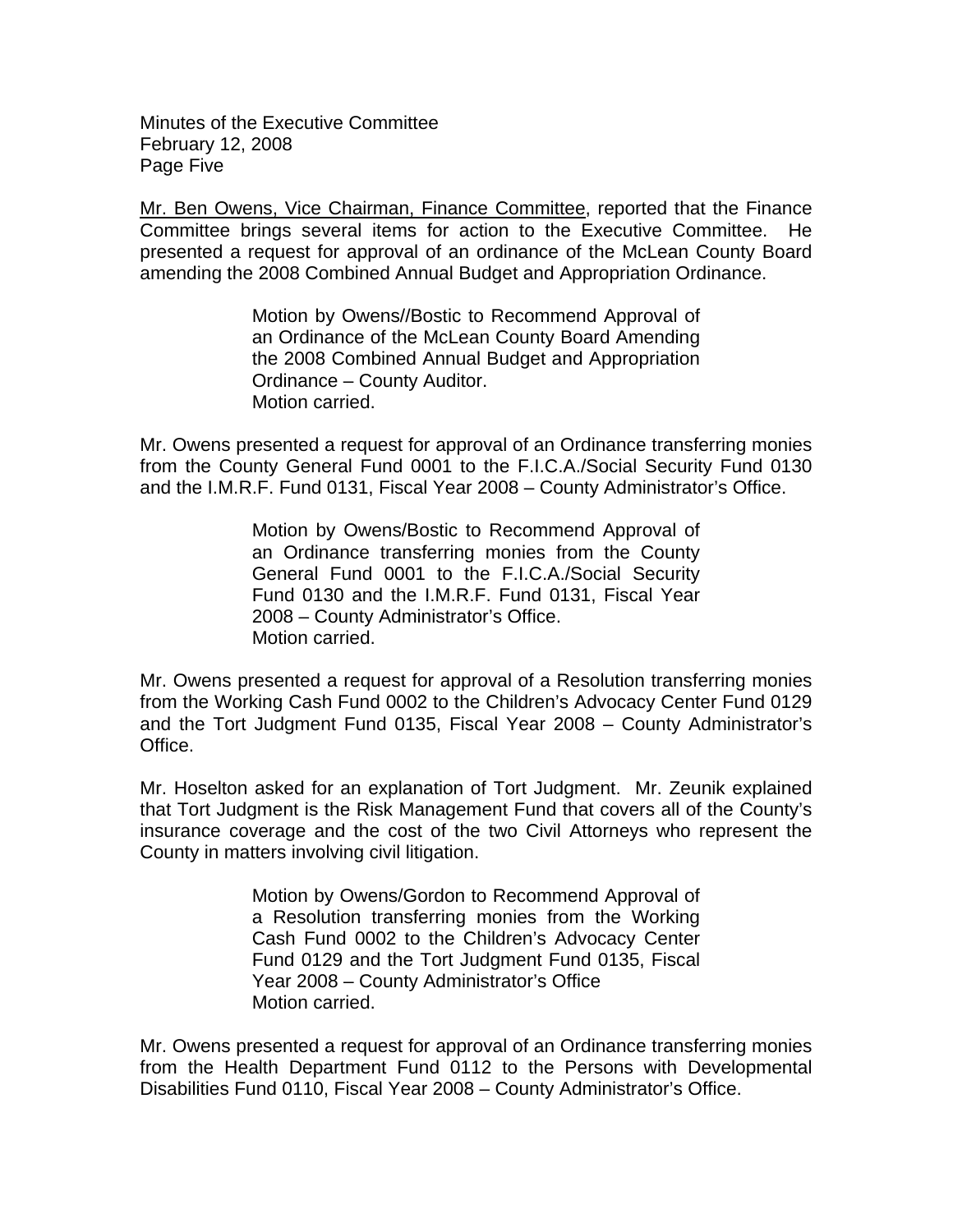Minutes of the Executive Committee February 12, 2008 Page Five

Mr. Ben Owens, Vice Chairman, Finance Committee, reported that the Finance Committee brings several items for action to the Executive Committee. He presented a request for approval of an ordinance of the McLean County Board amending the 2008 Combined Annual Budget and Appropriation Ordinance.

> Motion by Owens//Bostic to Recommend Approval of an Ordinance of the McLean County Board Amending the 2008 Combined Annual Budget and Appropriation Ordinance – County Auditor. Motion carried.

Mr. Owens presented a request for approval of an Ordinance transferring monies from the County General Fund 0001 to the F.I.C.A./Social Security Fund 0130 and the I.M.R.F. Fund 0131, Fiscal Year 2008 – County Administrator's Office.

> Motion by Owens/Bostic to Recommend Approval of an Ordinance transferring monies from the County General Fund 0001 to the F.I.C.A./Social Security Fund 0130 and the I.M.R.F. Fund 0131, Fiscal Year 2008 – County Administrator's Office. Motion carried.

Mr. Owens presented a request for approval of a Resolution transferring monies from the Working Cash Fund 0002 to the Children's Advocacy Center Fund 0129 and the Tort Judgment Fund 0135, Fiscal Year 2008 – County Administrator's Office.

Mr. Hoselton asked for an explanation of Tort Judgment. Mr. Zeunik explained that Tort Judgment is the Risk Management Fund that covers all of the County's insurance coverage and the cost of the two Civil Attorneys who represent the County in matters involving civil litigation.

> Motion by Owens/Gordon to Recommend Approval of a Resolution transferring monies from the Working Cash Fund 0002 to the Children's Advocacy Center Fund 0129 and the Tort Judgment Fund 0135, Fiscal Year 2008 – County Administrator's Office Motion carried.

Mr. Owens presented a request for approval of an Ordinance transferring monies from the Health Department Fund 0112 to the Persons with Developmental Disabilities Fund 0110, Fiscal Year 2008 – County Administrator's Office.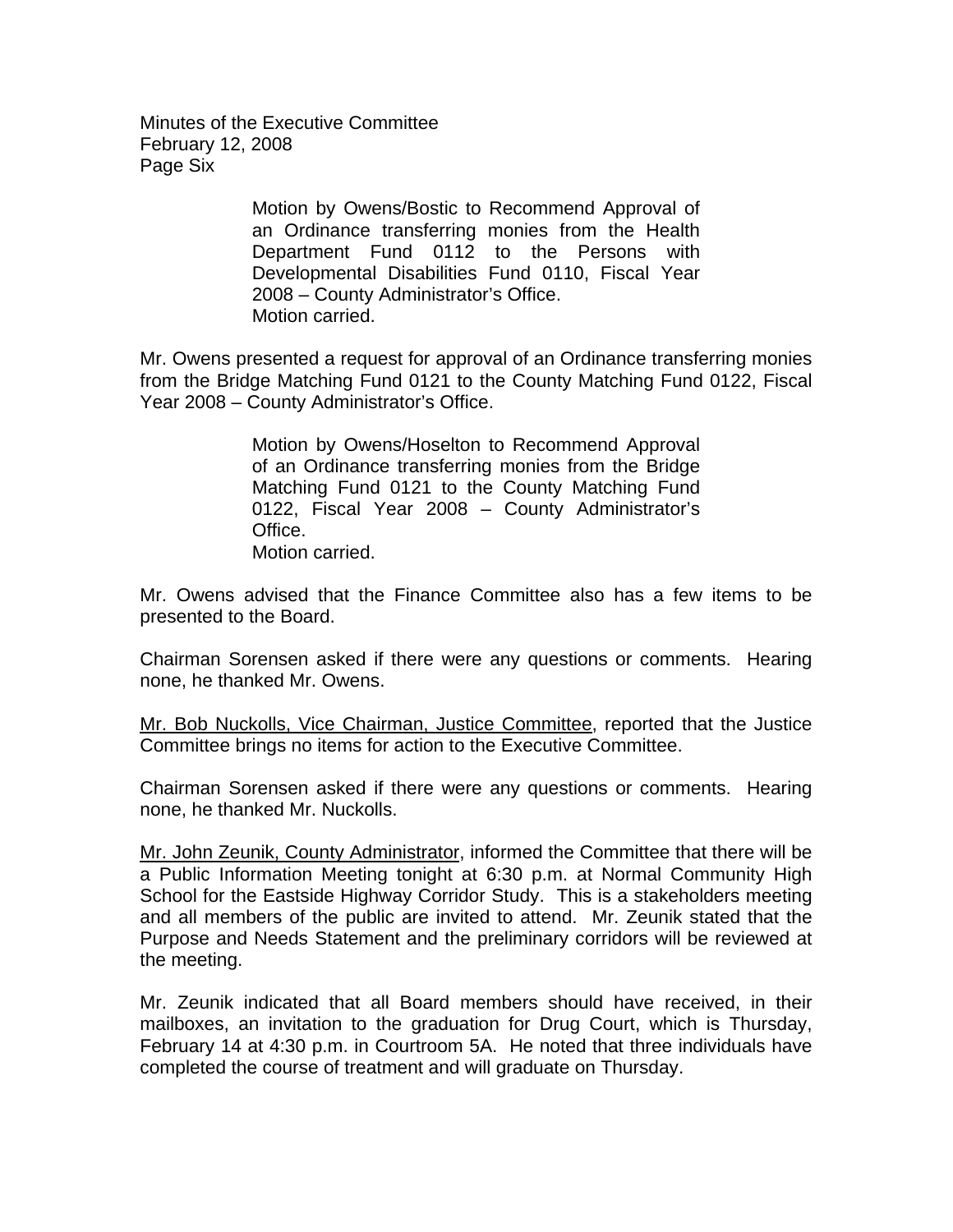Minutes of the Executive Committee February 12, 2008 Page Six

> Motion by Owens/Bostic to Recommend Approval of an Ordinance transferring monies from the Health Department Fund 0112 to the Persons with Developmental Disabilities Fund 0110, Fiscal Year 2008 – County Administrator's Office. Motion carried.

Mr. Owens presented a request for approval of an Ordinance transferring monies from the Bridge Matching Fund 0121 to the County Matching Fund 0122, Fiscal Year 2008 – County Administrator's Office.

> Motion by Owens/Hoselton to Recommend Approval of an Ordinance transferring monies from the Bridge Matching Fund 0121 to the County Matching Fund 0122, Fiscal Year 2008 – County Administrator's Office. Motion carried.

Mr. Owens advised that the Finance Committee also has a few items to be presented to the Board.

Chairman Sorensen asked if there were any questions or comments. Hearing none, he thanked Mr. Owens.

Mr. Bob Nuckolls, Vice Chairman, Justice Committee, reported that the Justice Committee brings no items for action to the Executive Committee.

Chairman Sorensen asked if there were any questions or comments. Hearing none, he thanked Mr. Nuckolls.

Mr. John Zeunik, County Administrator, informed the Committee that there will be a Public Information Meeting tonight at 6:30 p.m. at Normal Community High School for the Eastside Highway Corridor Study. This is a stakeholders meeting and all members of the public are invited to attend. Mr. Zeunik stated that the Purpose and Needs Statement and the preliminary corridors will be reviewed at the meeting.

Mr. Zeunik indicated that all Board members should have received, in their mailboxes, an invitation to the graduation for Drug Court, which is Thursday, February 14 at 4:30 p.m. in Courtroom 5A. He noted that three individuals have completed the course of treatment and will graduate on Thursday.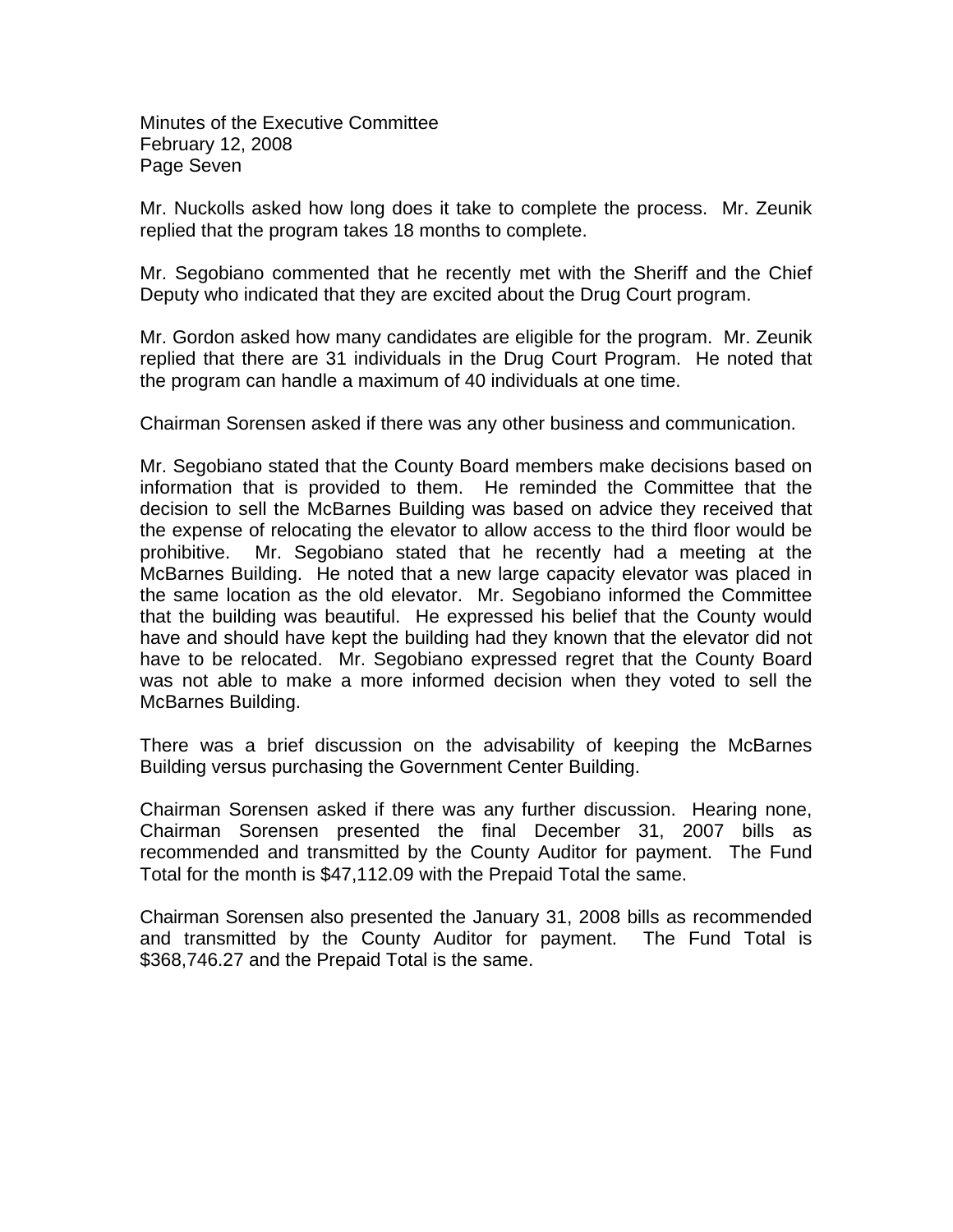Minutes of the Executive Committee February 12, 2008 Page Seven

Mr. Nuckolls asked how long does it take to complete the process. Mr. Zeunik replied that the program takes 18 months to complete.

Mr. Segobiano commented that he recently met with the Sheriff and the Chief Deputy who indicated that they are excited about the Drug Court program.

Mr. Gordon asked how many candidates are eligible for the program. Mr. Zeunik replied that there are 31 individuals in the Drug Court Program. He noted that the program can handle a maximum of 40 individuals at one time.

Chairman Sorensen asked if there was any other business and communication.

Mr. Segobiano stated that the County Board members make decisions based on information that is provided to them. He reminded the Committee that the decision to sell the McBarnes Building was based on advice they received that the expense of relocating the elevator to allow access to the third floor would be prohibitive. Mr. Segobiano stated that he recently had a meeting at the McBarnes Building. He noted that a new large capacity elevator was placed in the same location as the old elevator. Mr. Segobiano informed the Committee that the building was beautiful. He expressed his belief that the County would have and should have kept the building had they known that the elevator did not have to be relocated. Mr. Segobiano expressed regret that the County Board was not able to make a more informed decision when they voted to sell the McBarnes Building.

There was a brief discussion on the advisability of keeping the McBarnes Building versus purchasing the Government Center Building.

Chairman Sorensen asked if there was any further discussion. Hearing none, Chairman Sorensen presented the final December 31, 2007 bills as recommended and transmitted by the County Auditor for payment. The Fund Total for the month is \$47,112.09 with the Prepaid Total the same.

Chairman Sorensen also presented the January 31, 2008 bills as recommended and transmitted by the County Auditor for payment. The Fund Total is \$368,746.27 and the Prepaid Total is the same.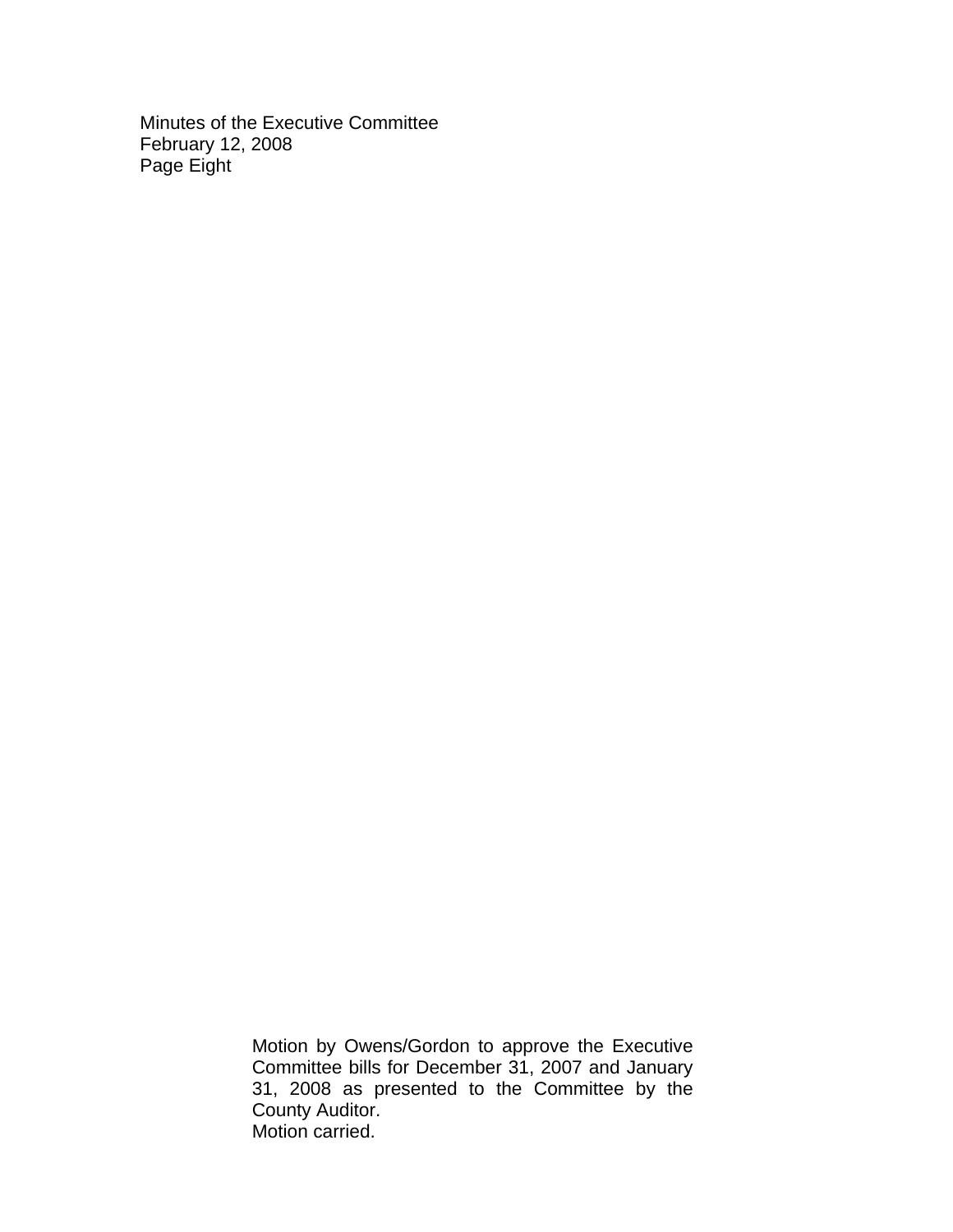Minutes of the Executive Committee February 12, 2008 Page Eight

> Motion by Owens/Gordon to approve the Executive Committee bills for December 31, 2007 and January 31, 2008 as presented to the Committee by the County Auditor. Motion carried.